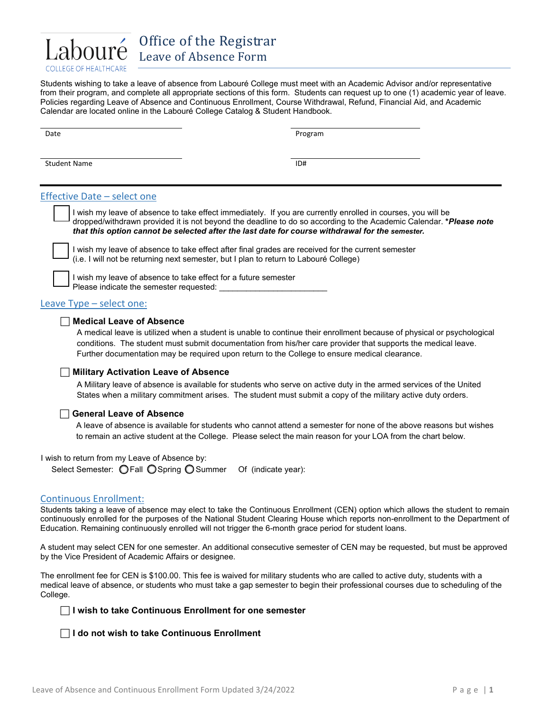

Office of the Registrar Leave of Absence Form

Students wishing to take a leave of absence from Labouré College must meet with an Academic Advisor and/or representative from their program, and complete all appropriate sections of this form. Students can request up to one (1) academic year of leave. Policies regarding Leave of Absence and Continuous Enrollment, Course Withdrawal, Refund, Financial Aid, and Academic Calendar are located online in the Labouré College Catalog & Student Handbook.

| Date                | Program |
|---------------------|---------|
| <b>Student Name</b> | ID#     |

## Effective Date – select one

 I wish my leave of absence to take effect immediately. If you are currently enrolled in courses, you will be dropped/withdrawn provided it is not beyond the deadline to do so according to the Academic Calendar. **\****Please note that this option cannot be selected after the last date for course withdrawal for the semester.*

 I wish my leave of absence to take effect after final grades are received for the current semester (i.e. I will not be returning next semester, but I plan to return to Labouré College)

 I wish my leave of absence to take effect for a future semester Please indicate the semester requested:

Leave Type – select one:

### **Medical Leave of Absence**

A medical leave is utilized when a student is unable to continue their enrollment because of physical or psychological conditions. The student must submit documentation from his/her care provider that supports the medical leave. Further documentation may be required upon return to the College to ensure medical clearance.

### **Military Activation Leave of Absence**

A Military leave of absence is available for students who serve on active duty in the armed services of the United States when a military commitment arises. The student must submit a copy of the military active duty orders.

### **General Leave of Absence**

A leave of absence is available for students who cannot attend a semester for none of the above reasons but wishes to remain an active student at the College. Please select the main reason for your LOA from the chart below.

I wish to return from my Leave of Absence by:

Select Semester: O Fall O Spring O Summer Of (indicate year):

### Continuous Enrollment:

Students taking a leave of absence may elect to take the Continuous Enrollment (CEN) option which allows the student to remain continuously enrolled for the purposes of the National Student Clearing House which reports non-enrollment to the Department of Education. Remaining continuously enrolled will not trigger the 6-month grace period for student loans.

A student may select CEN for one semester. An additional consecutive semester of CEN may be requested, but must be approved by the Vice President of Academic Affairs or designee.

The enrollment fee for CEN is \$100.00. This fee is waived for military students who are called to active duty, students with a medical leave of absence, or students who must take a gap semester to begin their professional courses due to scheduling of the College.

**I wish to take Continuous Enrollment for one semester**

**I do not wish to take Continuous Enrollment**